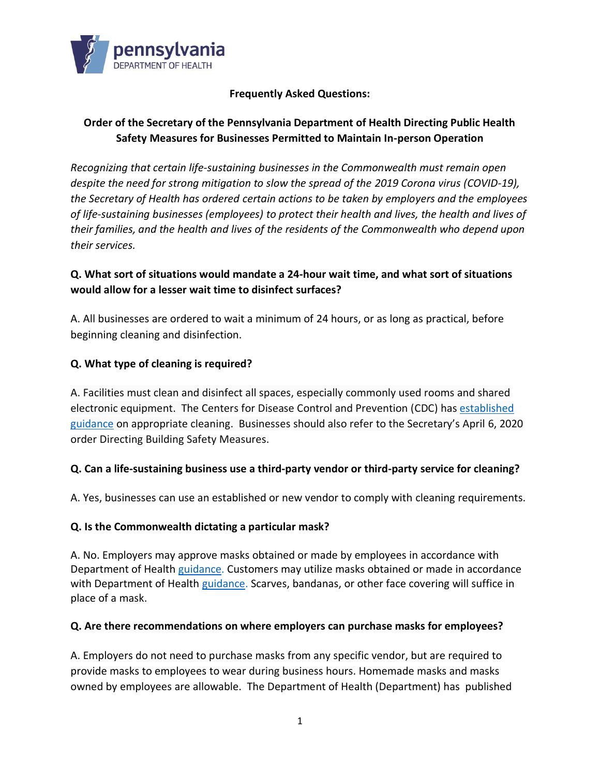

#### **Frequently Asked Questions:**

# **Order of the Secretary of the Pennsylvania Department of Health Directing Public Health Safety Measures for Businesses Permitted to Maintain In-person Operation**

*Recognizing that certain life-sustaining businesses in the Commonwealth must remain open despite the need for strong mitigation to slow the spread of the 2019 Corona virus (COVID-19), the Secretary of Health has ordered certain actions to be taken by employers and the employees of life-sustaining businesses (employees) to protect their health and lives, the health and lives of their families, and the health and lives of the residents of the Commonwealth who depend upon their services.* 

### **Q. What sort of situations would mandate a 24-hour wait time, and what sort of situations would allow for a lesser wait time to disinfect surfaces?**

A. All businesses are ordered to wait a minimum of 24 hours, or as long as practical, before beginning cleaning and disinfection.

#### **Q. What type of cleaning is required?**

A. Facilities must clean and disinfect all spaces, especially commonly used rooms and shared electronic equipment. The Centers for Disease Control and Prevention (CDC) has [established](https://www.cdc.gov/coronavirus/2019-ncov/community/disinfecting-building-facility.html)  [guidance](https://www.cdc.gov/coronavirus/2019-ncov/community/disinfecting-building-facility.html) on appropriate cleaning. Businesses should also refer to the Secretary's April 6, 2020 order Directing Building Safety Measures.

#### **Q. Can a life-sustaining business use a third-party vendor or third-party service for cleaning?**

A. Yes, businesses can use an established or new vendor to comply with cleaning requirements.

#### **Q. Is the Commonwealth dictating a particular mask?**

A. No. Employers may approve masks obtained or made by employees in accordance with Department of Health [guidance.](https://www.health.pa.gov/topics/disease/coronavirus/Pages/Stop-the-Spread.aspx) Customers may utilize masks obtained or made in accordance with Department of Health [guidance.](https://www.health.pa.gov/topics/disease/coronavirus/Pages/Stop-the-Spread.aspx) Scarves, bandanas, or other face covering will suffice in place of a mask.

#### **Q. Are there recommendations on where employers can purchase masks for employees?**

A. Employers do not need to purchase masks from any specific vendor, but are required to provide masks to employees to wear during business hours. Homemade masks and masks owned by employees are allowable. The Department of Health (Department) has published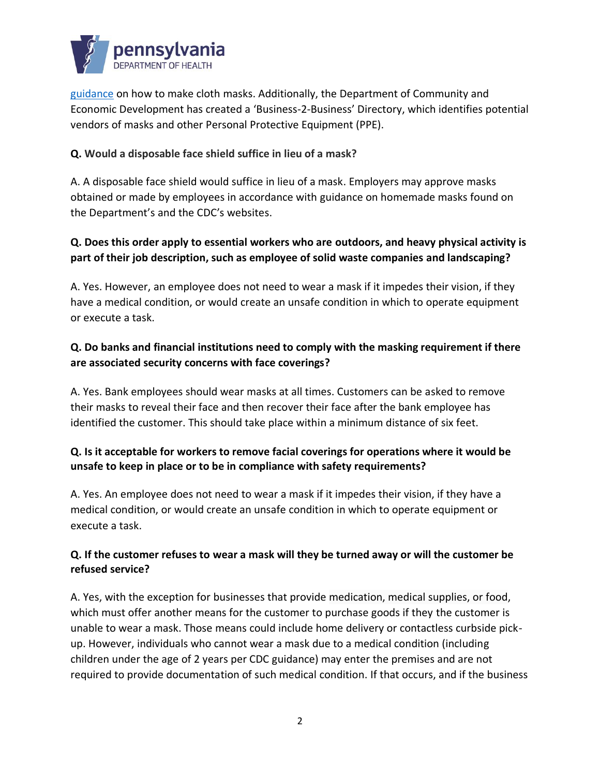

[guidance](https://www.health.pa.gov/topics/disease/coronavirus/Pages/Stop-the-Spread.aspx) on how to make cloth masks. Additionally, the Department of Community and Economic Development has created a 'Business-2-[Business' Directo](https://dced.pa.gov/pennsylvania-covid-19-ppe-supplies-business-2-business-b2b-interchange-directory/)ry, which identifies potential vendors of masks and other Personal Protective Equipment (PPE).

#### **Q. Would a disposable face shield suffice in lieu of a mask?**

A. A disposable face shield would suffice in lieu of a mask. Employers may approve masks obtained or made by employees in accordance with guidance on homemade masks found on the Department's and the CDC's websites.

# **Q. Does this order apply to essential workers who are outdoors, and heavy physical activity is part of their job description, such as employee of solid waste companies and landscaping?**

A. Yes. However, an employee does not need to wear a mask if it impedes their vision, if they have a medical condition, or would create an unsafe condition in which to operate equipment or execute a task.

## **Q. Do banks and financial institutions need to comply with the masking requirement if there are associated security concerns with face coverings?**

A. Yes. Bank employees should wear masks at all times. Customers can be asked to remove their masks to reveal their face and then recover their face after the bank employee has identified the customer. This should take place within a minimum distance of six feet.

## **Q. Is it acceptable for workers to remove facial coverings for operations where it would be unsafe to keep in place or to be in compliance with safety requirements?**

A. Yes. An employee does not need to wear a mask if it impedes their vision, if they have a medical condition, or would create an unsafe condition in which to operate equipment or execute a task.

#### **Q. If the customer refuses to wear a mask will they be turned away or will the customer be refused service?**

A. Yes, with the exception for businesses that provide medication, medical supplies, or food, which must offer another means for the customer to purchase goods if they the customer is unable to wear a mask. Those means could include home delivery or contactless curbside pickup. However, individuals who cannot wear a mask due to a medical condition (including children under the age of 2 years per CDC guidance) may enter the premises and are not required to provide documentation of such medical condition. If that occurs, and if the business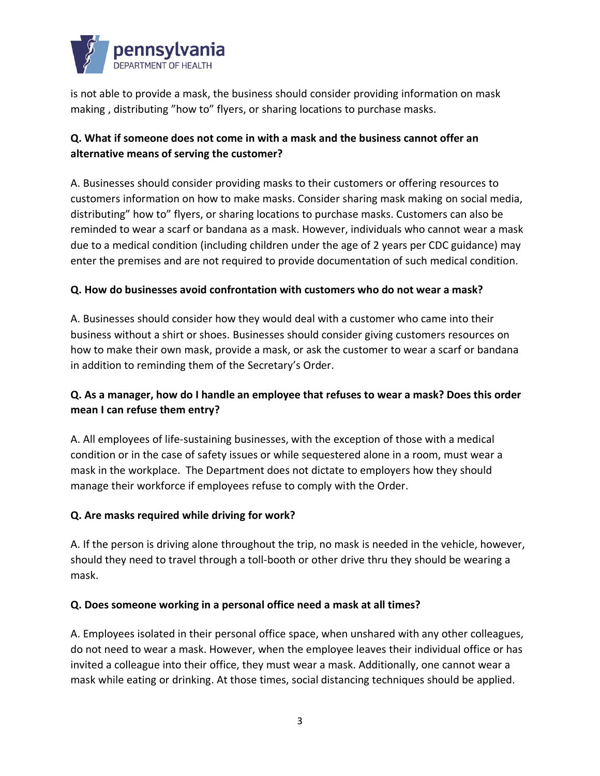

is not able to provide a mask, the business should consider providing information on mask making , distributing "how to" flyers, or sharing locations to purchase masks.

# **Q. What if someone does not come in with a mask and the business cannot offer an alternative means of serving the customer?**

A. Businesses should consider providing masks to their customers or offering resources to customers information on how to make masks. Consider sharing mask making on social media, distributing" how to" flyers, or sharing locations to purchase masks. Customers can also be reminded to wear a scarf or bandana as a mask. However, individuals who cannot wear a mask due to a medical condition (including children under the age of 2 years per CDC guidance) may enter the premises and are not required to provide documentation of such medical condition.

#### **Q. How do businesses avoid confrontation with customers who do not wear a mask?**

A. Businesses should consider how they would deal with a customer who came into their business without a shirt or shoes. Businesses should consider giving customers resources on how to make their own mask, provide a mask, or ask the customer to wear a scarf or bandana in addition to reminding them of the Secretary's Order.

# **Q. As a manager, how do I handle an employee that refuses to wear a mask? Does this order mean I can refuse them entry?**

A. All employees of life-sustaining businesses, with the exception of those with a medical condition or in the case of safety issues or while sequestered alone in a room, must wear a mask in the workplace. The Department does not dictate to employers how they should manage their workforce if employees refuse to comply with the Order.

#### **Q. Are masks required while driving for work?**

A. If the person is driving alone throughout the trip, no mask is needed in the vehicle, however, should they need to travel through a toll-booth or other drive thru they should be wearing a mask.

#### **Q. Does someone working in a personal office need a mask at all times?**

A. Employees isolated in their personal office space, when unshared with any other colleagues, do not need to wear a mask. However, when the employee leaves their individual office or has invited a colleague into their office, they must wear a mask. Additionally, one cannot wear a mask while eating or drinking. At those times, social distancing techniques should be applied.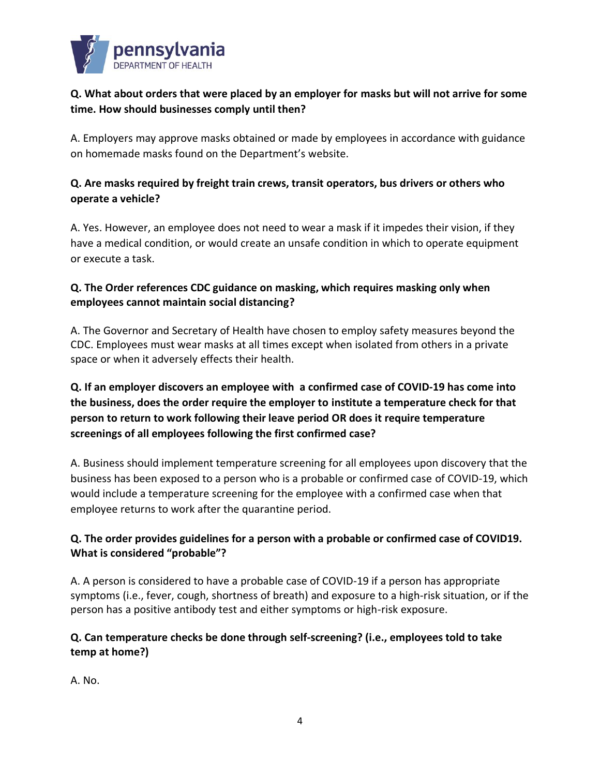

## **Q. What about orders that were placed by an employer for masks but will not arrive for some time. How should businesses comply until then?**

A. Employers may approve masks obtained or made by employees in accordance with guidance on homemade masks found on the Department's website.

# **Q. Are masks required by freight train crews, transit operators, bus drivers or others who operate a vehicle?**

A. Yes. However, an employee does not need to wear a mask if it impedes their vision, if they have a medical condition, or would create an unsafe condition in which to operate equipment or execute a task.

### **Q. The Order references CDC guidance on masking, which requires masking only when employees cannot maintain social distancing?**

A. The Governor and Secretary of Health have chosen to employ safety measures beyond the CDC. Employees must wear masks at all times except when isolated from others in a private space or when it adversely effects their health.

# **Q. If an employer discovers an employee with a confirmed case of COVID-19 has come into the business, does the order require the employer to institute a temperature check for that person to return to work following their leave period OR does it require temperature screenings of all employees following the first confirmed case?**

A. Business should implement temperature screening for all employees upon discovery that the business has been exposed to a person who is a probable or confirmed case of COVID-19, which would include a temperature screening for the employee with a confirmed case when that employee returns to work after the quarantine period.

## **Q. The order provides guidelines for a person with a probable or confirmed case of COVID19. What is considered "probable"?**

A. A person is considered to have a probable case of COVID-19 if a person has appropriate symptoms (i.e., fever, cough, shortness of breath) and exposure to a high-risk situation, or if the person has a positive antibody test and either symptoms or high-risk exposure.

## **Q. Can temperature checks be done through self-screening? (i.e., employees told to take temp at home?)**

A. No.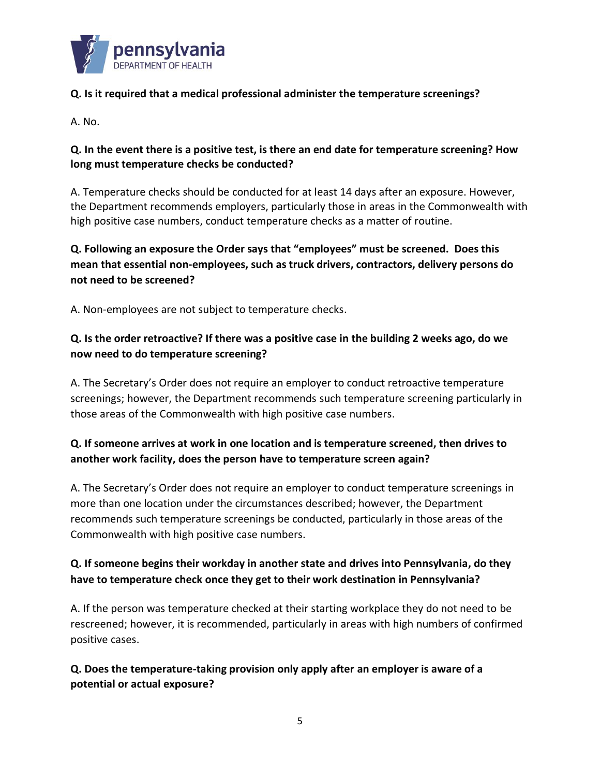

### **Q. Is it required that a medical professional administer the temperature screenings?**

A. No.

#### **Q. In the event there is a positive test, is there an end date for temperature screening? How long must temperature checks be conducted?**

A. Temperature checks should be conducted for at least 14 days after an exposure. However, the Department recommends employers, particularly those in areas in the Commonwealth with high positive case numbers, conduct temperature checks as a matter of routine.

# **Q. Following an exposure the Order says that "employees" must be screened. Does this mean that essential non-employees, such as truck drivers, contractors, delivery persons do not need to be screened?**

A. Non-employees are not subject to temperature checks.

# **Q. Is the order retroactive? If there was a positive case in the building 2 weeks ago, do we now need to do temperature screening?**

A. The Secretary's Order does not require an employer to conduct retroactive temperature screenings; however, the Department recommends such temperature screening particularly in those areas of the Commonwealth with high positive case numbers.

# **Q. If someone arrives at work in one location and is temperature screened, then drives to another work facility, does the person have to temperature screen again?**

A. The Secretary's Order does not require an employer to conduct temperature screenings in more than one location under the circumstances described; however, the Department recommends such temperature screenings be conducted, particularly in those areas of the Commonwealth with high positive case numbers.

# **Q. If someone begins their workday in another state and drives into Pennsylvania, do they have to temperature check once they get to their work destination in Pennsylvania?**

A. If the person was temperature checked at their starting workplace they do not need to be rescreened; however, it is recommended, particularly in areas with high numbers of confirmed positive cases.

**Q. Does the temperature-taking provision only apply after an employer is aware of a potential or actual exposure?**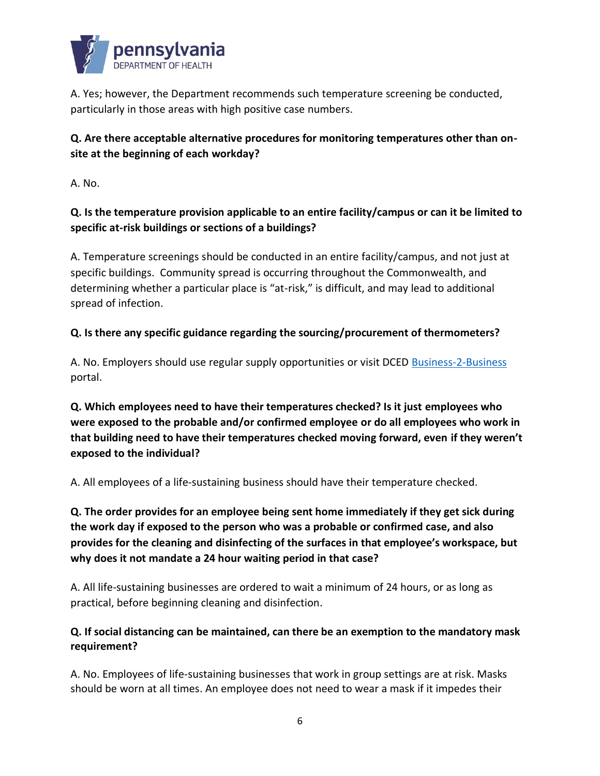

A. Yes; however, the Department recommends such temperature screening be conducted, particularly in those areas with high positive case numbers.

# **Q. Are there acceptable alternative procedures for monitoring temperatures other than onsite at the beginning of each workday?**

A. No.

## **Q. Is the temperature provision applicable to an entire facility/campus or can it be limited to specific at-risk buildings or sections of a buildings?**

A. Temperature screenings should be conducted in an entire facility/campus, and not just at specific buildings. Community spread is occurring throughout the Commonwealth, and determining whether a particular place is "at-risk," is difficult, and may lead to additional spread of infection.

## **Q. Is there any specific guidance regarding the sourcing/procurement of thermometers?**

A. No. Employers should use regular supply opportunities or visit DCE[D Business-2-Business](https://dced.pa.gov/pennsylvania-covid-19-ppe-supplies-business-2-business-b2b-interchange-directory/) portal.

**Q. Which employees need to have their temperatures checked? Is it just employees who were exposed to the probable and/or confirmed employee or do all employees who work in that building need to have their temperatures checked moving forward, even if they weren't exposed to the individual?** 

A. All employees of a life-sustaining business should have their temperature checked.

**Q. The order provides for an employee being sent home immediately if they get sick during the work day if exposed to the person who was a probable or confirmed case, and also provides for the cleaning and disinfecting of the surfaces in that employee's workspace, but why does it not mandate a 24 hour waiting period in that case?**

A. All life-sustaining businesses are ordered to wait a minimum of 24 hours, or as long as practical, before beginning cleaning and disinfection.

## **Q. If social distancing can be maintained, can there be an exemption to the mandatory mask requirement?**

A. No. Employees of life-sustaining businesses that work in group settings are at risk. Masks should be worn at all times. An employee does not need to wear a mask if it impedes their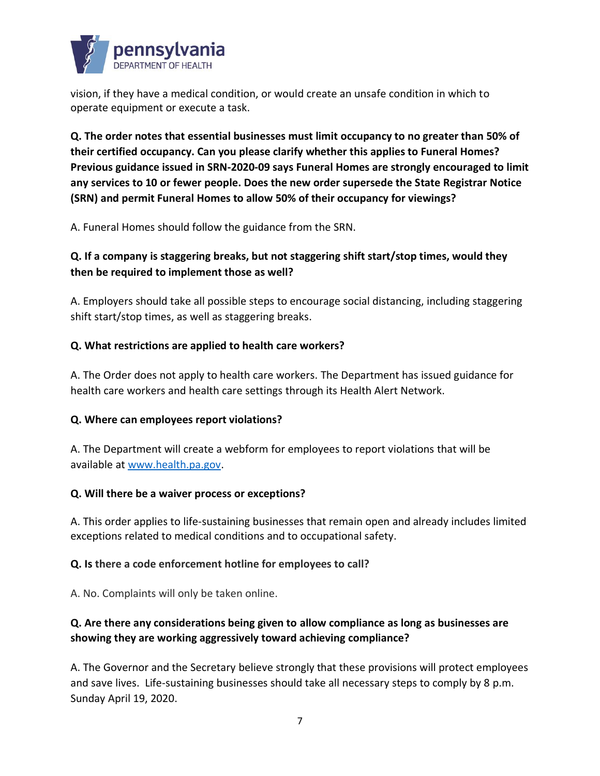

vision, if they have a medical condition, or would create an unsafe condition in which to operate equipment or execute a task.

**Q. The order notes that essential businesses must limit occupancy to no greater than 50% of their certified occupancy. Can you please clarify whether this applies to Funeral Homes? Previous guidance issued in SRN-2020-09 says Funeral Homes are strongly encouraged to limit any services to 10 or fewer people. Does the new order supersede the State Registrar Notice (SRN) and permit Funeral Homes to allow 50% of their occupancy for viewings?** 

A. Funeral Homes should follow the guidance from the SRN.

# **Q. If a company is staggering breaks, but not staggering shift start/stop times, would they then be required to implement those as well?**

A. Employers should take all possible steps to encourage social distancing, including staggering shift start/stop times, as well as staggering breaks.

#### **Q. What restrictions are applied to health care workers?**

A. The Order does not apply to health care workers. The Department has issued guidance for health care workers and health care settings through its Health Alert Network.

#### **Q. Where can employees report violations?**

A. The Department will create a webform for employees to report violations that will be available at [www.health.pa.gov.](http://www.health.pa.gov/)

#### **Q. Will there be a waiver process or exceptions?**

A. This order applies to life-sustaining businesses that remain open and already includes limited exceptions related to medical conditions and to occupational safety.

#### **Q. Is there a code enforcement hotline for employees to call?**

A. No. Complaints will only be taken online.

# **Q. Are there any considerations being given to allow compliance as long as businesses are showing they are working aggressively toward achieving compliance?**

A. The Governor and the Secretary believe strongly that these provisions will protect employees and save lives. Life-sustaining businesses should take all necessary steps to comply by 8 p.m. Sunday April 19, 2020.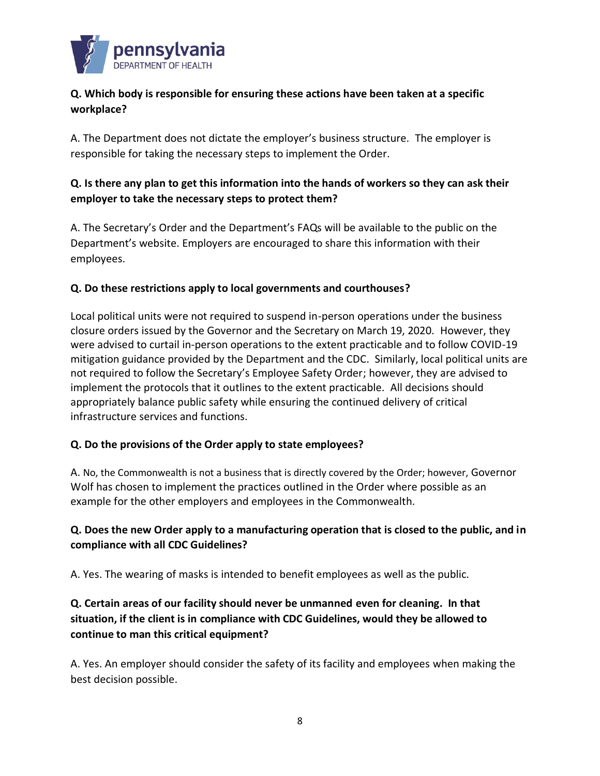

## **Q. Which body is responsible for ensuring these actions have been taken at a specific workplace?**

A. The Department does not dictate the employer's business structure. The employer is responsible for taking the necessary steps to implement the Order.

## **Q. Is there any plan to get this information into the hands of workers so they can ask their employer to take the necessary steps to protect them?**

A. The Secretary's Order and the Department's FAQs will be available to the public on the Department's website. Employers are encouraged to share this information with their employees.

#### **Q. Do these restrictions apply to local governments and courthouses?**

Local political units were not required to suspend in-person operations under the business closure orders issued by the Governor and the Secretary on March 19, 2020. However, they were advised to curtail in-person operations to the extent practicable and to follow COVID-19 mitigation guidance provided by the Department and the CDC. Similarly, local political units are not required to follow the Secretary's Employee Safety Order; however, they are advised to implement the protocols that it outlines to the extent practicable. All decisions should appropriately balance public safety while ensuring the continued delivery of critical infrastructure services and functions.

#### **Q. Do the provisions of the Order apply to state employees?**

A. No, the Commonwealth is not a business that is directly covered by the Order; however, Governor Wolf has chosen to implement the practices outlined in the Order where possible as an example for the other employers and employees in the Commonwealth.

# **Q. Does the new Order apply to a manufacturing operation that is closed to the public, and in compliance with all CDC Guidelines?**

A. Yes. The wearing of masks is intended to benefit employees as well as the public.

# **Q. Certain areas of our facility should never be unmanned even for cleaning. In that situation, if the client is in compliance with CDC Guidelines, would they be allowed to continue to man this critical equipment?**

A. Yes. An employer should consider the safety of its facility and employees when making the best decision possible.